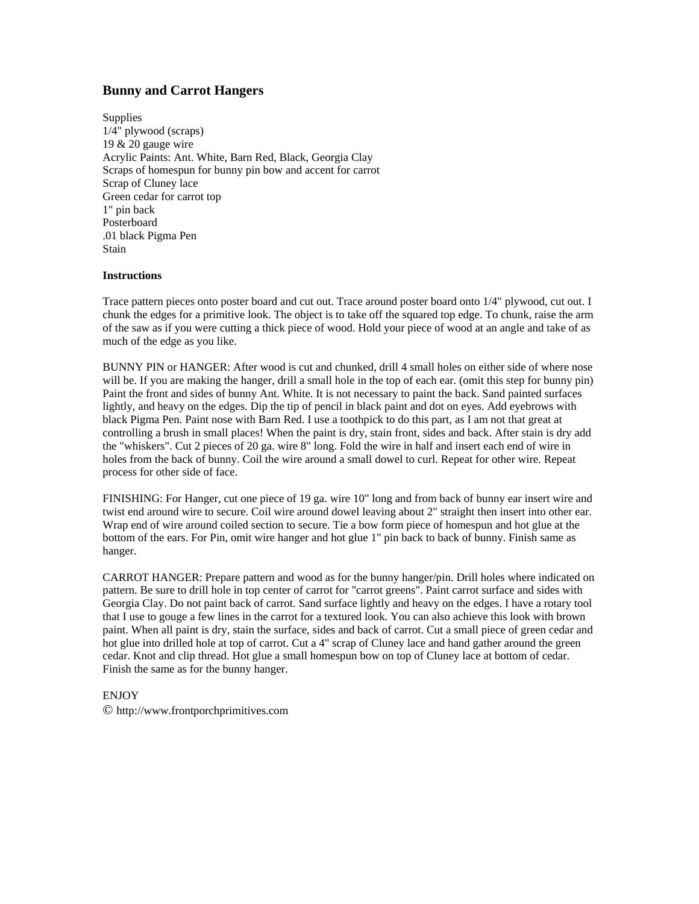## **Bunny and Carrot Hangers**

**Supplies** 1/4" plywood (scraps) 19 & 20 gauge wire Acrylic Paints: Ant. White, Barn Red, Black, Georgia Clay Scraps of homespun for bunny pin bow and accent for carrot Scrap of Cluney lace Green cedar for carrot top 1" pin back Posterboard .01 black Pigma Pen **Stain** 

## **Instructions**

Trace pattern pieces onto poster board and cut out. Trace around poster board onto 1/4" plywood, cut out. I chunk the edges for a primitive look. The object is to take off the squared top edge. To chunk, raise the arm of the saw as if you were cutting a thick piece of wood. Hold your piece of wood at an angle and take of as much of the edge as you like.

BUNNY PIN or HANGER: After wood is cut and chunked, drill 4 small holes on either side of where nose will be. If you are making the hanger, drill a small hole in the top of each ear. (omit this step for bunny pin) Paint the front and sides of bunny Ant. White. It is not necessary to paint the back. Sand painted surfaces lightly, and heavy on the edges. Dip the tip of pencil in black paint and dot on eyes. Add eyebrows with black Pigma Pen. Paint nose with Barn Red. I use a toothpick to do this part, as I am not that great at controlling a brush in small places! When the paint is dry, stain front, sides and back. After stain is dry add the "whiskers". Cut 2 pieces of 20 ga. wire 8" long. Fold the wire in half and insert each end of wire in holes from the back of bunny. Coil the wire around a small dowel to curl. Repeat for other wire. Repeat process for other side of face.

FINISHING: For Hanger, cut one piece of 19 ga. wire 10" long and from back of bunny ear insert wire and twist end around wire to secure. Coil wire around dowel leaving about 2" straight then insert into other ear. Wrap end of wire around coiled section to secure. Tie a bow form piece of homespun and hot glue at the bottom of the ears. For Pin, omit wire hanger and hot glue 1" pin back to back of bunny. Finish same as hanger.

CARROT HANGER: Prepare pattern and wood as for the bunny hanger/pin. Drill holes where indicated on pattern. Be sure to drill hole in top center of carrot for "carrot greens". Paint carrot surface and sides with Georgia Clay. Do not paint back of carrot. Sand surface lightly and heavy on the edges. I have a rotary tool that I use to gouge a few lines in the carrot for a textured look. You can also achieve this look with brown paint. When all paint is dry, stain the surface, sides and back of carrot. Cut a small piece of green cedar and hot glue into drilled hole at top of carrot. Cut a 4" scrap of Cluney lace and hand gather around the green cedar. Knot and clip thread. Hot glue a small homespun bow on top of Cluney lace at bottom of cedar. Finish the same as for the bunny hanger.

## ENJOY

© http://www.frontporchprimitives.com